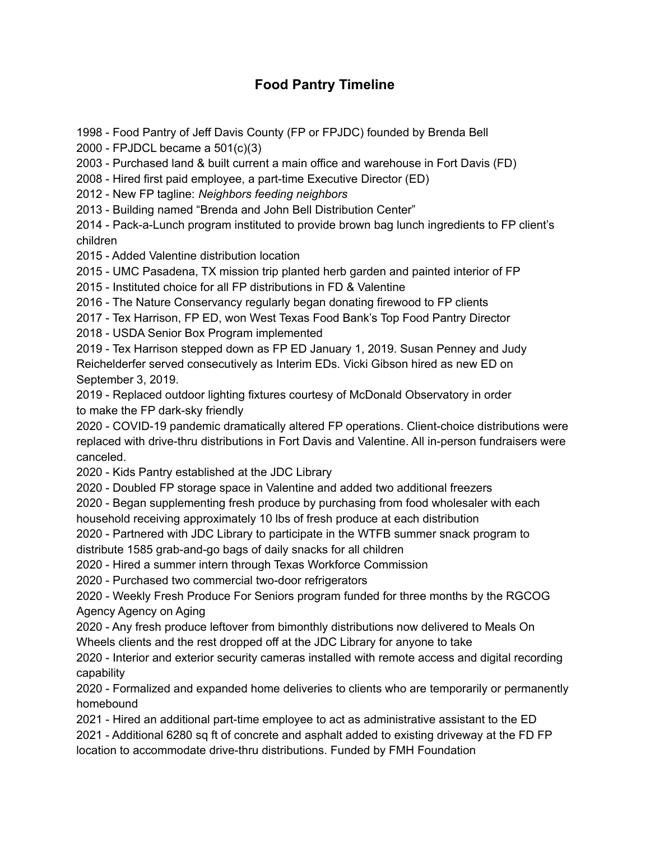## **Food Pantry Timeline**

- Food Pantry of Jeff Davis County (FP or FPJDC) founded by Brenda Bell

- FPJDCL became a 501(c)(3)

- Purchased land & built current a main office and warehouse in Fort Davis (FD)

- Hired first paid employee, a part-time Executive Director (ED)

- New FP tagline: *Neighbors feeding neighbors*

- Building named "Brenda and John Bell Distribution Center"

 - Pack-a-Lunch program instituted to provide brown bag lunch ingredients to FP client's children

- Added Valentine distribution location

- UMC Pasadena, TX mission trip planted herb garden and painted interior of FP

- Instituted choice for all FP distributions in FD & Valentine

- The Nature Conservancy regularly began donating firewood to FP clients

- Tex Harrison, FP ED, won West Texas Food Bank's Top Food Pantry Director

- USDA Senior Box Program implemented

 - Tex Harrison stepped down as FP ED January 1, 2019. Susan Penney and Judy Reichelderfer served consecutively as Interim EDs. Vicki Gibson hired as new ED on September 3, 2019.

 - Replaced outdoor lighting fixtures courtesy of McDonald Observatory in order to make the FP dark-sky friendly

 - COVID-19 pandemic dramatically altered FP operations. Client-choice distributions were replaced with drive-thru distributions in Fort Davis and Valentine. All in-person fundraisers were canceled.

- Kids Pantry established at the JDC Library

- Doubled FP storage space in Valentine and added two additional freezers

 - Began supplementing fresh produce by purchasing from food wholesaler with each household receiving approximately 10 lbs of fresh produce at each distribution

 - Partnered with JDC Library to participate in the WTFB summer snack program to distribute 1585 grab-and-go bags of daily snacks for all children

- Hired a summer intern through Texas Workforce Commission

- Purchased two commercial two-door refrigerators

 - Weekly Fresh Produce For Seniors program funded for three months by the RGCOG Agency Agency on Aging

 - Any fresh produce leftover from bimonthly distributions now delivered to Meals On Wheels clients and the rest dropped off at the JDC Library for anyone to take

 - Interior and exterior security cameras installed with remote access and digital recording capability

 - Formalized and expanded home deliveries to clients who are temporarily or permanently homebound

 - Hired an additional part-time employee to act as administrative assistant to the ED - Additional 6280 sq ft of concrete and asphalt added to existing driveway at the FD FP location to accommodate drive-thru distributions. Funded by FMH Foundation